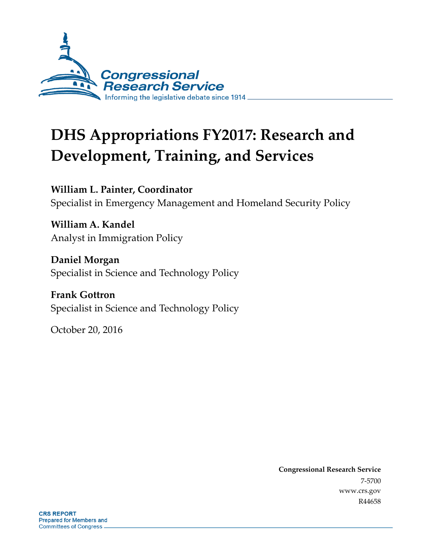

# **DHS Appropriations FY2017: Research and Development, Training, and Services**

**William L. Painter, Coordinator** Specialist in Emergency Management and Homeland Security Policy

**William A. Kandel** Analyst in Immigration Policy

**Daniel Morgan** Specialist in Science and Technology Policy

**Frank Gottron** Specialist in Science and Technology Policy

October 20, 2016

**Congressional Research Service** 7-5700 www.crs.gov R44658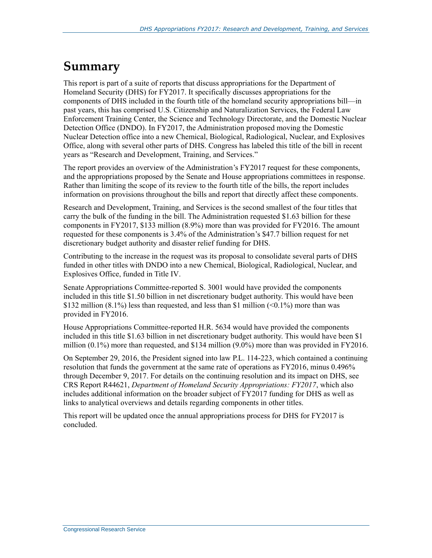## **Summary**

This report is part of a suite of reports that discuss appropriations for the Department of Homeland Security (DHS) for FY2017. It specifically discusses appropriations for the components of DHS included in the fourth title of the homeland security appropriations bill—in past years, this has comprised U.S. Citizenship and Naturalization Services, the Federal Law Enforcement Training Center, the Science and Technology Directorate, and the Domestic Nuclear Detection Office (DNDO). In FY2017, the Administration proposed moving the Domestic Nuclear Detection office into a new Chemical, Biological, Radiological, Nuclear, and Explosives Office, along with several other parts of DHS. Congress has labeled this title of the bill in recent years as "Research and Development, Training, and Services."

The report provides an overview of the Administration's FY2017 request for these components, and the appropriations proposed by the Senate and House appropriations committees in response. Rather than limiting the scope of its review to the fourth title of the bills, the report includes information on provisions throughout the bills and report that directly affect these components.

Research and Development, Training, and Services is the second smallest of the four titles that carry the bulk of the funding in the bill. The Administration requested \$1.63 billion for these components in FY2017, \$133 million (8.9%) more than was provided for FY2016. The amount requested for these components is 3.4% of the Administration's \$47.7 billion request for net discretionary budget authority and disaster relief funding for DHS.

Contributing to the increase in the request was its proposal to consolidate several parts of DHS funded in other titles with DNDO into a new Chemical, Biological, Radiological, Nuclear, and Explosives Office, funded in Title IV.

Senate Appropriations Committee-reported S. 3001 would have provided the components included in this title \$1.50 billion in net discretionary budget authority. This would have been \$132 million  $(8.1\%)$  less than requested, and less than \$1 million  $(<0.1\%)$  more than was provided in FY2016.

House Appropriations Committee-reported H.R. 5634 would have provided the components included in this title \$1.63 billion in net discretionary budget authority. This would have been \$1 million  $(0.1\%)$  more than requested, and \$134 million  $(9.0\%)$  more than was provided in FY2016.

On September 29, 2016, the President signed into law P.L. 114-223, which contained a continuing resolution that funds the government at the same rate of operations as FY2016, minus 0.496% through December 9, 2017. For details on the continuing resolution and its impact on DHS, see CRS Report R44621, *Department of Homeland Security Appropriations: FY2017*, which also includes additional information on the broader subject of FY2017 funding for DHS as well as links to analytical overviews and details regarding components in other titles.

This report will be updated once the annual appropriations process for DHS for FY2017 is concluded.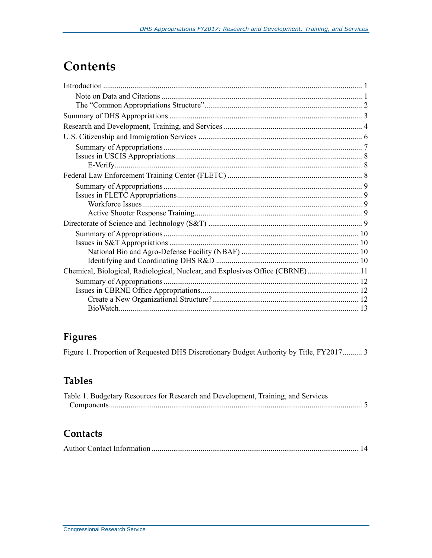## **Contents**

| Chemical, Biological, Radiological, Nuclear, and Explosives Office (CBRNE)11 |  |
|------------------------------------------------------------------------------|--|
|                                                                              |  |
|                                                                              |  |
|                                                                              |  |
|                                                                              |  |

### **Figures**

Figure 1. Proportion of Requested DHS Discretionary Budget Authority by Title, FY2017.......... 3

### **Tables**

| Table 1. Budgetary Resources for Research and Development, Training, and Services |  |
|-----------------------------------------------------------------------------------|--|
|                                                                                   |  |

#### **Contacts**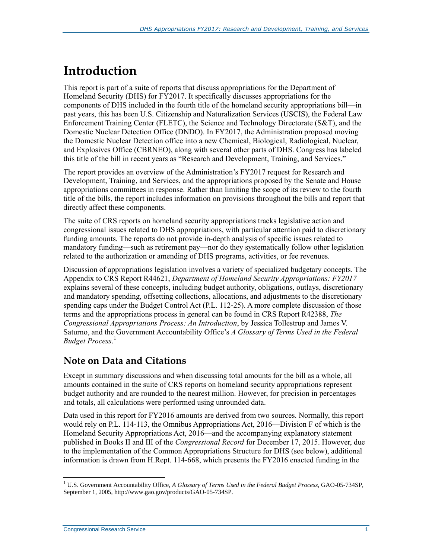## **Introduction**

This report is part of a suite of reports that discuss appropriations for the Department of Homeland Security (DHS) for FY2017. It specifically discusses appropriations for the components of DHS included in the fourth title of the homeland security appropriations bill—in past years, this has been U.S. Citizenship and Naturalization Services (USCIS), the Federal Law Enforcement Training Center (FLETC), the Science and Technology Directorate (S&T), and the Domestic Nuclear Detection Office (DNDO). In FY2017, the Administration proposed moving the Domestic Nuclear Detection office into a new Chemical, Biological, Radiological, Nuclear, and Explosives Office (CBRNEO), along with several other parts of DHS. Congress has labeled this title of the bill in recent years as "Research and Development, Training, and Services."

The report provides an overview of the Administration's FY2017 request for Research and Development, Training, and Services, and the appropriations proposed by the Senate and House appropriations committees in response. Rather than limiting the scope of its review to the fourth title of the bills, the report includes information on provisions throughout the bills and report that directly affect these components.

The suite of CRS reports on homeland security appropriations tracks legislative action and congressional issues related to DHS appropriations, with particular attention paid to discretionary funding amounts. The reports do not provide in-depth analysis of specific issues related to mandatory funding—such as retirement pay—nor do they systematically follow other legislation related to the authorization or amending of DHS programs, activities, or fee revenues.

Discussion of appropriations legislation involves a variety of specialized budgetary concepts. The Appendix to CRS Report R44621, *Department of Homeland Security Appropriations: FY2017* explains several of these concepts, including budget authority, obligations, outlays, discretionary and mandatory spending, offsetting collections, allocations, and adjustments to the discretionary spending caps under the Budget Control Act [\(P.L. 112-25\)](http://www.congress.gov/cgi-lis/bdquery/R?d112:FLD002:@1(112+25)). A more complete discussion of those terms and the appropriations process in general can be found in CRS Report R42388, *The Congressional Appropriations Process: An Introduction*, by Jessica Tollestrup and James V. Saturno, and the Government Accountability Office's *A Glossary of Terms Used in the Federal Budget Process*. 1

### **Note on Data and Citations**

Except in summary discussions and when discussing total amounts for the bill as a whole, all amounts contained in the suite of CRS reports on homeland security appropriations represent budget authority and are rounded to the nearest million. However, for precision in percentages and totals, all calculations were performed using unrounded data.

Data used in this report for FY2016 amounts are derived from two sources. Normally, this report would rely on [P.L. 114-113,](http://www.congress.gov/cgi-lis/bdquery/R?d114:FLD002:@1(114+113)) the Omnibus Appropriations Act, 2016—Division F of which is the Homeland Security Appropriations Act, 2016—and the accompanying explanatory statement published in Books II and III of the *Congressional Record* for December 17, 2015. However, due to the implementation of the Common Appropriations Structure for DHS (see below), additional information is drawn from H.Rept. 114-668, which presents the FY2016 enacted funding in the

<sup>1</sup> U.S. Government Accountability Office, *A Glossary of Terms Used in the Federal Budget Process*, GAO-05-734SP, September 1, 2005, http://www.gao.gov/products/GAO-05-734SP.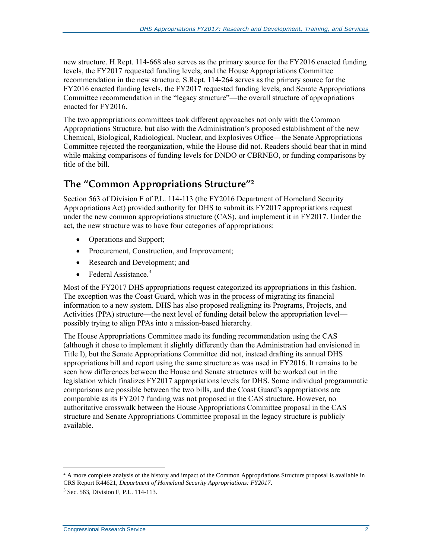new structure. [H.Rept. 114-668](http://www.congress.gov/cgi-lis/cpquery/R?cp114:FLD010:@1(hr668):) also serves as the primary source for the FY2016 enacted funding levels, the FY2017 requested funding levels, and the House Appropriations Committee recommendation in the new structure. S.Rept. 114-264 serves as the primary source for the FY2016 enacted funding levels, the FY2017 requested funding levels, and Senate Appropriations Committee recommendation in the "legacy structure"—the overall structure of appropriations enacted for FY2016.

The two appropriations committees took different approaches not only with the Common Appropriations Structure, but also with the Administration's proposed establishment of the new Chemical, Biological, Radiological, Nuclear, and Explosives Office—the Senate Appropriations Committee rejected the reorganization, while the House did not. Readers should bear that in mind while making comparisons of funding levels for DNDO or CBRNEO, or funding comparisons by title of the bill.

### **The "Common Appropriations Structure"<sup>2</sup>**

Section 563 of Division F of [P.L. 114-113](http://www.congress.gov/cgi-lis/bdquery/R?d114:FLD002:@1(114+113)) (the FY2016 Department of Homeland Security Appropriations Act) provided authority for DHS to submit its FY2017 appropriations request under the new common appropriations structure (CAS), and implement it in FY2017. Under the act, the new structure was to have four categories of appropriations:

- Operations and Support;
- Procurement, Construction, and Improvement;
- Research and Development; and
- Federal Assistance<sup>3</sup>

Most of the FY2017 DHS appropriations request categorized its appropriations in this fashion. The exception was the Coast Guard, which was in the process of migrating its financial information to a new system. DHS has also proposed realigning its Programs, Projects, and Activities (PPA) structure—the next level of funding detail below the appropriation level possibly trying to align PPAs into a mission-based hierarchy.

The House Appropriations Committee made its funding recommendation using the CAS (although it chose to implement it slightly differently than the Administration had envisioned in Title I), but the Senate Appropriations Committee did not, instead drafting its annual DHS appropriations bill and report using the same structure as was used in FY2016. It remains to be seen how differences between the House and Senate structures will be worked out in the legislation which finalizes FY2017 appropriations levels for DHS. Some individual programmatic comparisons are possible between the two bills, and the Coast Guard's appropriations are comparable as its FY2017 funding was not proposed in the CAS structure. However, no authoritative crosswalk between the House Appropriations Committee proposal in the CAS structure and Senate Appropriations Committee proposal in the legacy structure is publicly available.

 $\overline{a}$  $2^2$  A more complete analysis of the history and impact of the Common Appropriations Structure proposal is available in CRS Report R44621, *Department of Homeland Security Appropriations: FY2017*.

<sup>&</sup>lt;sup>3</sup> Sec. 563, Division F, P.L. 114-113.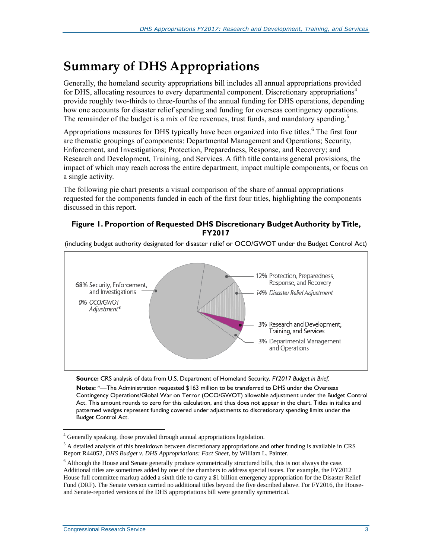## **Summary of DHS Appropriations**

Generally, the homeland security appropriations bill includes all annual appropriations provided for DHS, allocating resources to every departmental component. Discretionary appropriations<sup>4</sup> provide roughly two-thirds to three-fourths of the annual funding for DHS operations, depending how one accounts for disaster relief spending and funding for overseas contingency operations. The remainder of the budget is a mix of fee revenues, trust funds, and mandatory spending.<sup>5</sup>

Appropriations measures for DHS typically have been organized into five titles.<sup>6</sup> The first four are thematic groupings of components: Departmental Management and Operations; Security, Enforcement, and Investigations; Protection, Preparedness, Response, and Recovery; and Research and Development, Training, and Services. A fifth title contains general provisions, the impact of which may reach across the entire department, impact multiple components, or focus on a single activity.

The following pie chart presents a visual comparison of the share of annual appropriations requested for the components funded in each of the first four titles, highlighting the components discussed in this report.

#### **Figure 1. Proportion of Requested DHS Discretionary Budget Authority by Title, FY2017**

(including budget authority designated for disaster relief or OCO/GWOT under the Budget Control Act)



**Source:** CRS analysis of data from U.S. Department of Homeland Security, *FY2017 Budget in Brief*.

**Notes:** \*—The Administration requested \$163 million to be transferred to DHS under the Overseas Contingency Operations/Global War on Terror (OCO/GWOT) allowable adjustment under the Budget Control Act. This amount rounds to zero for this calculation, and thus does not appear in the chart. Titles in italics and patterned wedges represent funding covered under adjustments to discretionary spending limits under the Budget Control Act.

 $\overline{a}$ <sup>4</sup> Generally speaking, those provided through annual appropriations legislation.

<sup>&</sup>lt;sup>5</sup> A detailed analysis of this breakdown between discretionary appropriations and other funding is available in CRS Report R44052, *DHS Budget v. DHS Appropriations: Fact Sheet*, by William L. Painter.

<sup>6</sup> Although the House and Senate generally produce symmetrically structured bills, this is not always the case. Additional titles are sometimes added by one of the chambers to address special issues. For example, the FY2012 House full committee markup added a sixth title to carry a \$1 billion emergency appropriation for the Disaster Relief Fund (DRF). The Senate version carried no additional titles beyond the five described above. For FY2016, the Houseand Senate-reported versions of the DHS appropriations bill were generally symmetrical.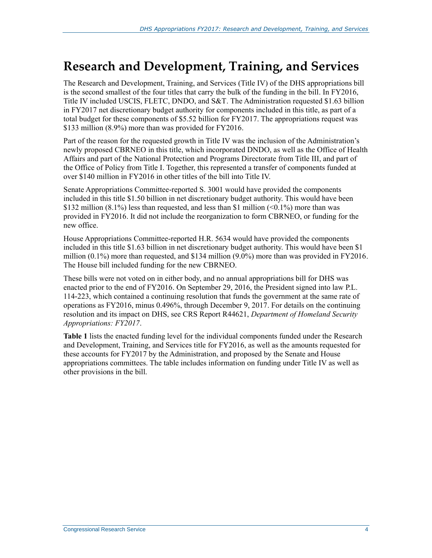## **Research and Development, Training, and Services**

The Research and Development, Training, and Services (Title IV) of the DHS appropriations bill is the second smallest of the four titles that carry the bulk of the funding in the bill. In FY2016, Title IV included USCIS, FLETC, DNDO, and S&T. The Administration requested \$1.63 billion in FY2017 net discretionary budget authority for components included in this title, as part of a total budget for these components of \$5.52 billion for FY2017. The appropriations request was \$133 million (8.9%) more than was provided for FY2016.

Part of the reason for the requested growth in Title IV was the inclusion of the Administration's newly proposed CBRNEO in this title, which incorporated DNDO, as well as the Office of Health Affairs and part of the National Protection and Programs Directorate from Title III, and part of the Office of Policy from Title I. Together, this represented a transfer of components funded at over \$140 million in FY2016 in other titles of the bill into Title IV.

Senate Appropriations Committee-reported S. 3001 would have provided the components included in this title \$1.50 billion in net discretionary budget authority. This would have been \$132 million  $(8.1\%)$  less than requested, and less than \$1 million  $(0.1\%)$  more than was provided in FY2016. It did not include the reorganization to form CBRNEO, or funding for the new office.

House Appropriations Committee-reported [H.R. 5634](http://www.congress.gov/cgi-lis/bdquery/z?d114:H.R.5634:) would have provided the components included in this title \$1.63 billion in net discretionary budget authority. This would have been \$1 million (0.1%) more than requested, and \$134 million (9.0%) more than was provided in FY2016. The House bill included funding for the new CBRNEO.

These bills were not voted on in either body, and no annual appropriations bill for DHS was enacted prior to the end of FY2016. On September 29, 2016, the President signed into law P.L. 114-223, which contained a continuing resolution that funds the government at the same rate of operations as FY2016, minus 0.496%, through December 9, 2017. For details on the continuing resolution and its impact on DHS, see CRS Report R44621, *[Department of Homeland Security](http://www.crs.gov/Reports/R44621)  [Appropriations: FY2017](http://www.crs.gov/Reports/R44621)*.

**[Table 1](#page-7-0)** lists the enacted funding level for the individual components funded under the Research and Development, Training, and Services title for FY2016, as well as the amounts requested for these accounts for FY2017 by the Administration, and proposed by the Senate and House appropriations committees. The table includes information on funding under Title IV as well as other provisions in the bill.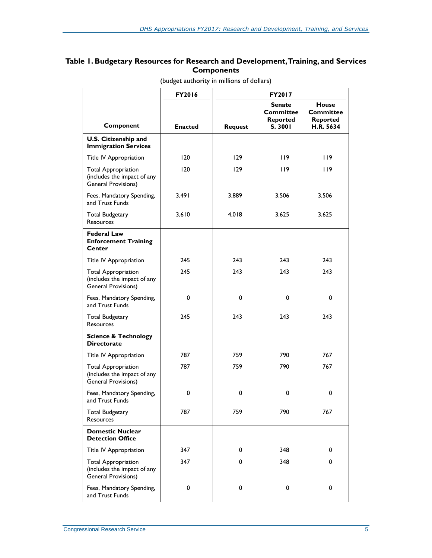#### <span id="page-7-0"></span>**Table 1. Budgetary Resources for Research and Development, Training, and Services Components**

|                                                                                  | FY2016         | FY2017         |                                                   |                                                           |
|----------------------------------------------------------------------------------|----------------|----------------|---------------------------------------------------|-----------------------------------------------------------|
| Component                                                                        | <b>Enacted</b> | <b>Request</b> | Senate<br><b>Committee</b><br>Reported<br>S. 3001 | <b>House</b><br><b>Committee</b><br>Reported<br>H.R. 5634 |
| U.S. Citizenship and                                                             |                |                |                                                   |                                                           |
| <b>Immigration Services</b>                                                      |                |                |                                                   |                                                           |
| Title IV Appropriation                                                           | 120            | 129            | 119                                               | 119                                                       |
| <b>Total Appropriation</b><br>(includes the impact of any<br>General Provisions) | 120            | 129            | 119                                               | 119                                                       |
| Fees, Mandatory Spending,<br>and Trust Funds                                     | 3,491          | 3,889          | 3,506                                             | 3,506                                                     |
| <b>Total Budgetary</b><br><b>Resources</b>                                       | 3,610          | 4,018          | 3,625                                             | 3,625                                                     |
| <b>Federal Law</b><br><b>Enforcement Training</b><br>Center                      |                |                |                                                   |                                                           |
| Title IV Appropriation                                                           | 245            | 243            | 243                                               | 243                                                       |
| <b>Total Appropriation</b><br>(includes the impact of any<br>General Provisions) | 245            | 243            | 243                                               | 243                                                       |
| Fees, Mandatory Spending,<br>and Trust Funds                                     | 0              | $\mathbf 0$    | 0                                                 | 0                                                         |
| <b>Total Budgetary</b><br><b>Resources</b>                                       | 245            | 243            | 243                                               | 243                                                       |
| <b>Science &amp; Technology</b><br><b>Directorate</b>                            |                |                |                                                   |                                                           |
| Title IV Appropriation                                                           | 787            | 759            | 790                                               | 767                                                       |
| <b>Total Appropriation</b><br>(includes the impact of any<br>General Provisions) | 787            | 759            | 790                                               | 767                                                       |
| Fees, Mandatory Spending,<br>and Trust Funds                                     | 0              | 0              | 0                                                 | 0                                                         |
| <b>Total Budgetary</b><br><b>Resources</b>                                       | 787            | 759            | 790                                               | 767                                                       |
| <b>Domestic Nuclear</b><br><b>Detection Office</b>                               |                |                |                                                   |                                                           |
| <b>Title IV Appropriation</b>                                                    | 347            | 0              | 348                                               | 0                                                         |
| <b>Total Appropriation</b><br>(includes the impact of any<br>General Provisions) | 347            | 0              | 348                                               | 0                                                         |
| Fees, Mandatory Spending,<br>and Trust Funds                                     | 0              | 0              | 0                                                 | 0                                                         |

(budget authority in millions of dollars)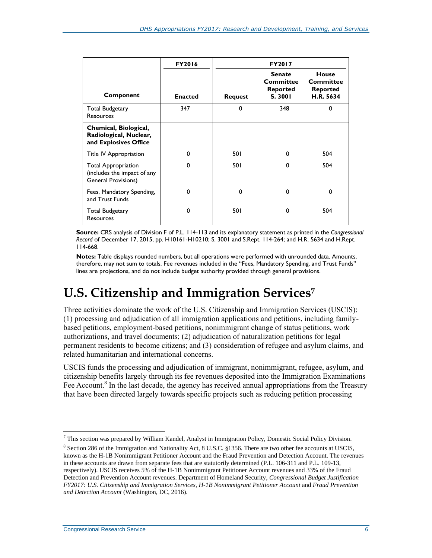|                                                                                         | <b>FY2016</b>  | <b>FY2017</b>  |                                                   |                                                           |
|-----------------------------------------------------------------------------------------|----------------|----------------|---------------------------------------------------|-----------------------------------------------------------|
| Component                                                                               | <b>Enacted</b> | <b>Request</b> | <b>Senate</b><br>Committee<br>Reported<br>S. 3001 | House<br><b>Committee</b><br><b>Reported</b><br>H.R. 5634 |
| <b>Total Budgetary</b><br>Resources                                                     | 347            | 0              | 348                                               | 0                                                         |
| Chemical, Biological,<br>Radiological, Nuclear,<br>and Explosives Office                |                |                |                                                   |                                                           |
| Title IV Appropriation                                                                  | $\Omega$       | 50 I           | 0                                                 | 504                                                       |
| <b>Total Appropriation</b><br>(includes the impact of any<br><b>General Provisions)</b> | $\Omega$       | 501            | $\Omega$                                          | 504                                                       |
| Fees, Mandatory Spending,<br>and Trust Funds                                            | $\Omega$       | 0              | $\Omega$                                          | $\Omega$                                                  |
| <b>Total Budgetary</b><br>Resources                                                     | $\Omega$       | 501            | $\Omega$                                          | 504                                                       |

**Source:** CRS analysis of Division F of P.L. 114-113 and its explanatory statement as printed in the *Congressional Record* of December 17, 2015, pp. H10161-H10210[; S. 3001](http://www.congress.gov/cgi-lis/bdquery/z?d114:S.3001:) and S.Rept. 114-264; and [H.R. 5634](http://www.congress.gov/cgi-lis/bdquery/z?d114:H.R.5634:) and H.Rept. 114-668.

**Notes:** Table displays rounded numbers, but all operations were performed with unrounded data. Amounts, therefore, may not sum to totals. Fee revenues included in the "Fees, Mandatory Spending, and Trust Funds" lines are projections, and do not include budget authority provided through general provisions.

## **U.S. Citizenship and Immigration Services 7**

Three activities dominate the work of the U.S. Citizenship and Immigration Services (USCIS): (1) processing and adjudication of all immigration applications and petitions, including familybased petitions, employment-based petitions, nonimmigrant change of status petitions, work authorizations, and travel documents; (2) adjudication of naturalization petitions for legal permanent residents to become citizens; and (3) consideration of refugee and asylum claims, and related humanitarian and international concerns.

USCIS funds the processing and adjudication of immigrant, nonimmigrant, refugee, asylum, and citizenship benefits largely through its fee revenues deposited into the Immigration Examinations Fee Account.<sup>8</sup> In the last decade, the agency has received annual appropriations from the Treasury that have been directed largely towards specific projects such as reducing petition processing

 $\overline{a}$ <sup>7</sup> This section was prepared by William Kandel, Analyst in Immigration Policy, Domestic Social Policy Division.

<sup>&</sup>lt;sup>8</sup> Section 286 of the Immigration and Nationality Act, 8 U.S.C. §1356. There are two other fee accounts at USCIS, known as the H-1B Nonimmigrant Petitioner Account and the Fraud Prevention and Detection Account. The revenues in these accounts are drawn from separate fees that are statutorily determined (P.L. 106-311 and P.L. 109-13, respectively). USCIS receives 5% of the H-1B Nonimmigrant Petitioner Account revenues and 33% of the Fraud Detection and Prevention Account revenues. Department of Homeland Security, *Congressional Budget Justification FY2017: U.S. Citizenship and Immigration Services, H-1B Nonimmigrant Petitioner Account* and *Fraud Prevention and Detection Account* (Washington, DC, 2016).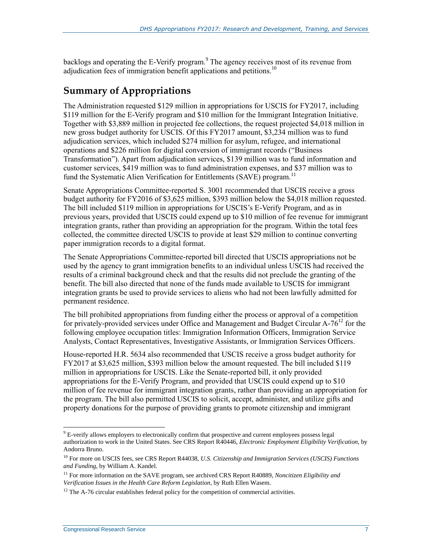backlogs and operating the E-Verify program.<sup>9</sup> The agency receives most of its revenue from adjudication fees of immigration benefit applications and petitions.<sup>10</sup>

#### **Summary of Appropriations**

The Administration requested \$129 million in appropriations for USCIS for FY2017, including \$119 million for the E-Verify program and \$10 million for the Immigrant Integration Initiative. Together with \$3,889 million in projected fee collections, the request projected \$4,018 million in new gross budget authority for USCIS. Of this FY2017 amount, \$3,234 million was to fund adjudication services, which included \$274 million for asylum, refugee, and international operations and \$226 million for digital conversion of immigrant records ("Business Transformation"). Apart from adjudication services, \$139 million was to fund information and customer services, \$419 million was to fund administration expenses, and \$37 million was to fund the Systematic Alien Verification for Entitlements (SAVE) program.<sup>11</sup>

Senate Appropriations Committee-reported [S. 3001](http://www.congress.gov/cgi-lis/bdquery/z?d114:S.3001:) recommended that USCIS receive a gross budget authority for FY2016 of \$3,625 million, \$393 million below the \$4,018 million requested. The bill included \$119 million in appropriations for USCIS's E-Verify Program, and as in previous years, provided that USCIS could expend up to \$10 million of fee revenue for immigrant integration grants, rather than providing an appropriation for the program. Within the total fees collected, the committee directed USCIS to provide at least \$29 million to continue converting paper immigration records to a digital format.

The Senate Appropriations Committee-reported bill directed that USCIS appropriations not be used by the agency to grant immigration benefits to an individual unless USCIS had received the results of a criminal background check and that the results did not preclude the granting of the benefit. The bill also directed that none of the funds made available to USCIS for immigrant integration grants be used to provide services to aliens who had not been lawfully admitted for permanent residence.

The bill prohibited appropriations from funding either the process or approval of a competition for privately-provided services under Office and Management and Budget Circular  $A-76^{12}$  for the following employee occupation titles: Immigration Information Officers, Immigration Service Analysts, Contact Representatives, Investigative Assistants, or Immigration Services Officers.

House-reported H.R. 5634 also recommended that USCIS receive a gross budget authority for FY2017 at \$3,625 million, \$393 million below the amount requested. The bill included \$119 million in appropriations for USCIS. Like the Senate-reported bill, it only provided appropriations for the E-Verify Program, and provided that USCIS could expend up to \$10 million of fee revenue for immigrant integration grants, rather than providing an appropriation for the program. The bill also permitted USCIS to solicit, accept, administer, and utilize gifts and property donations for the purpose of providing grants to promote citizenship and immigrant

<sup>&</sup>lt;sup>9</sup> E-verify allows employers to electronically confirm that prospective and current employees possess legal authorization to work in the United States. See CRS Report R40446, *Electronic Employment Eligibility Verification*, by Andorra Bruno.

<sup>10</sup> For more on USCIS fees, see CRS Report R44038, *U.S. Citizenship and Immigration Services (USCIS) Functions and Funding*, by William A. Kandel.

<sup>11</sup> For more information on the SAVE program, see archived CRS Report R40889, *Noncitizen Eligibility and Verification Issues in the Health Care Reform Legislation*, by Ruth Ellen Wasem.

 $12$  The A-76 circular establishes federal policy for the competition of commercial activities.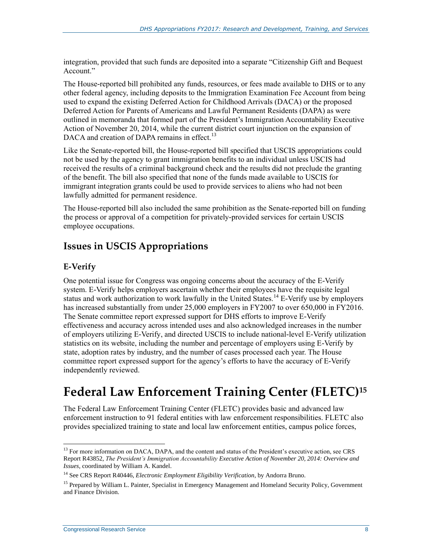integration, provided that such funds are deposited into a separate "Citizenship Gift and Bequest Account."

The House-reported bill prohibited any funds, resources, or fees made available to DHS or to any other federal agency, including deposits to the Immigration Examination Fee Account from being used to expand the existing Deferred Action for Childhood Arrivals (DACA) or the proposed Deferred Action for Parents of Americans and Lawful Permanent Residents (DAPA) as were outlined in memoranda that formed part of the President's Immigration Accountability Executive Action of November 20, 2014, while the current district court injunction on the expansion of DACA and creation of DAPA remains in effect.<sup>13</sup>

Like the Senate-reported bill, the House-reported bill specified that USCIS appropriations could not be used by the agency to grant immigration benefits to an individual unless USCIS had received the results of a criminal background check and the results did not preclude the granting of the benefit. The bill also specified that none of the funds made available to USCIS for immigrant integration grants could be used to provide services to aliens who had not been lawfully admitted for permanent residence.

The House-reported bill also included the same prohibition as the Senate-reported bill on funding the process or approval of a competition for privately-provided services for certain USCIS employee occupations.

### **Issues in USCIS Appropriations**

#### **E-Verify**

One potential issue for Congress was ongoing concerns about the accuracy of the E-Verify system. E-Verify helps employers ascertain whether their employees have the requisite legal status and work authorization to work lawfully in the United States.<sup>14</sup> E-Verify use by employers has increased substantially from under 25,000 employers in FY2007 to over 650,000 in FY2016. The Senate committee report expressed support for DHS efforts to improve E-Verify effectiveness and accuracy across intended uses and also acknowledged increases in the number of employers utilizing E-Verify, and directed USCIS to include national-level E-Verify utilization statistics on its website, including the number and percentage of employers using E-Verify by state, adoption rates by industry, and the number of cases processed each year. The House committee report expressed support for the agency's efforts to have the accuracy of E-Verify independently reviewed.

## **Federal Law Enforcement Training Center (FLETC)<sup>15</sup>**

The Federal Law Enforcement Training Center (FLETC) provides basic and advanced law enforcement instruction to 91 federal entities with law enforcement responsibilities. FLETC also provides specialized training to state and local law enforcement entities, campus police forces,

 $\overline{a}$ <sup>13</sup> For more information on DACA, DAPA, and the content and status of the President's executive action, see CRS Report R43852, *The President's Immigration Accountability Executive Action of November 20, 2014: Overview and Issues*, coordinated by William A. Kandel.

<sup>14</sup> See CRS Report R40446, *Electronic Employment Eligibility Verification*, by Andorra Bruno.

<sup>&</sup>lt;sup>15</sup> Prepared by William L. Painter, Specialist in Emergency Management and Homeland Security Policy, Government and Finance Division.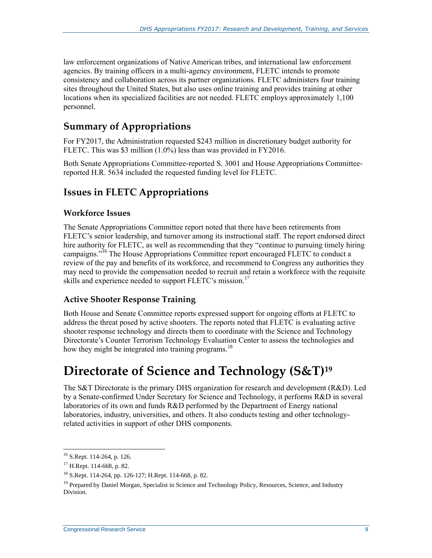law enforcement organizations of Native American tribes, and international law enforcement agencies. By training officers in a multi-agency environment, FLETC intends to promote consistency and collaboration across its partner organizations. FLETC administers four training sites throughout the United States, but also uses online training and provides training at other locations when its specialized facilities are not needed. FLETC employs approximately 1,100 personnel.

### **Summary of Appropriations**

For FY2017, the Administration requested \$243 million in discretionary budget authority for FLETC. This was \$3 million (1.0%) less than was provided in FY2016.

Both Senate Appropriations Committee-reported [S. 3001](http://www.congress.gov/cgi-lis/bdquery/z?d114:S.3001:) and House Appropriations Committeereported H.R. 5634 included the requested funding level for FLETC.

### **Issues in FLETC Appropriations**

#### **Workforce Issues**

The Senate Appropriations Committee report noted that there have been retirements from FLETC's senior leadership, and turnover among its instructional staff. The report endorsed direct hire authority for FLETC, as well as recommending that they "continue to pursuing timely hiring campaigns."<sup>16</sup> The House Appropriations Committee report encouraged FLETC to conduct a review of the pay and benefits of its workforce, and recommend to Congress any authorities they may need to provide the compensation needed to recruit and retain a workforce with the requisite skills and experience needed to support FLETC's mission.<sup>17</sup>

#### **Active Shooter Response Training**

Both House and Senate Committee reports expressed support for ongoing efforts at FLETC to address the threat posed by active shooters. The reports noted that FLETC is evaluating active shooter response technology and directs them to coordinate with the Science and Technology Directorate's Counter Terrorism Technology Evaluation Center to assess the technologies and how they might be integrated into training programs.<sup>18</sup>

## **Directorate of Science and Technology (S&T)<sup>19</sup>**

The S&T Directorate is the primary DHS organization for research and development (R&D). Led by a Senate-confirmed Under Secretary for Science and Technology, it performs R&D in several laboratories of its own and funds R&D performed by the Department of Energy national laboratories, industry, universities, and others. It also conducts testing and other technologyrelated activities in support of other DHS components.

<sup>16</sup> S.Rept. 114-264, p. 126.

 $17$  H.Rept. 114-668, p. 82.

<sup>18</sup> S.Rept. 114-264, pp. 126-127; H.Rept. 114-668, p. 82.

<sup>&</sup>lt;sup>19</sup> Prepared by Daniel Morgan, Specialist in Science and Technology Policy, Resources, Science, and Industry Division.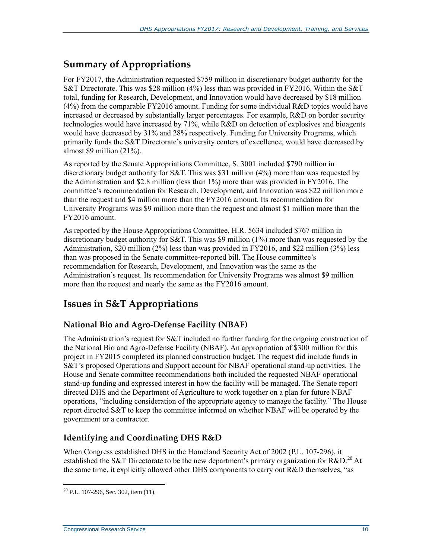### **Summary of Appropriations**

For FY2017, the Administration requested \$759 million in discretionary budget authority for the S&T Directorate. This was \$28 million (4%) less than was provided in FY2016. Within the S&T total, funding for Research, Development, and Innovation would have decreased by \$18 million (4%) from the comparable FY2016 amount. Funding for some individual R&D topics would have increased or decreased by substantially larger percentages. For example, R&D on border security technologies would have increased by 71%, while R&D on detection of explosives and bioagents would have decreased by 31% and 28% respectively. Funding for University Programs, which primarily funds the S&T Directorate's university centers of excellence, would have decreased by almost \$9 million (21%).

As reported by the Senate Appropriations Committee, [S. 3001](http://www.congress.gov/cgi-lis/bdquery/z?d114:S.3001:) included \$790 million in discretionary budget authority for S&T. This was \$31 million (4%) more than was requested by the Administration and \$2.8 million (less than 1%) more than was provided in FY2016. The committee's recommendation for Research, Development, and Innovation was \$22 million more than the request and \$4 million more than the FY2016 amount. Its recommendation for University Programs was \$9 million more than the request and almost \$1 million more than the FY2016 amount.

As reported by the House Appropriations Committee, H.R. 5634 included \$767 million in discretionary budget authority for S&T. This was \$9 million (1%) more than was requested by the Administration, \$20 million (2%) less than was provided in FY2016, and \$22 million (3%) less than was proposed in the Senate committee-reported bill. The House committee's recommendation for Research, Development, and Innovation was the same as the Administration's request. Its recommendation for University Programs was almost \$9 million more than the request and nearly the same as the FY2016 amount.

### **Issues in S&T Appropriations**

#### **National Bio and Agro-Defense Facility (NBAF)**

The Administration's request for S&T included no further funding for the ongoing construction of the National Bio and Agro-Defense Facility (NBAF). An appropriation of \$300 million for this project in FY2015 completed its planned construction budget. The request did include funds in S&T's proposed Operations and Support account for NBAF operational stand-up activities. The House and Senate committee recommendations both included the requested NBAF operational stand-up funding and expressed interest in how the facility will be managed. The Senate report directed DHS and the Department of Agriculture to work together on a plan for future NBAF operations, "including consideration of the appropriate agency to manage the facility." The House report directed S&T to keep the committee informed on whether NBAF will be operated by the government or a contractor.

#### **Identifying and Coordinating DHS R&D**

When Congress established DHS in the Homeland Security Act of 2002 [\(P.L. 107-296\)](http://www.congress.gov/cgi-lis/bdquery/R?d107:FLD002:@1(107+296)), it established the S&T Directorate to be the new department's primary organization for R&D.<sup>20</sup> At the same time, it explicitly allowed other DHS components to carry out R&D themselves, "as

 $\overline{a}$  $20$  P.L. 107-296, Sec. 302, item (11).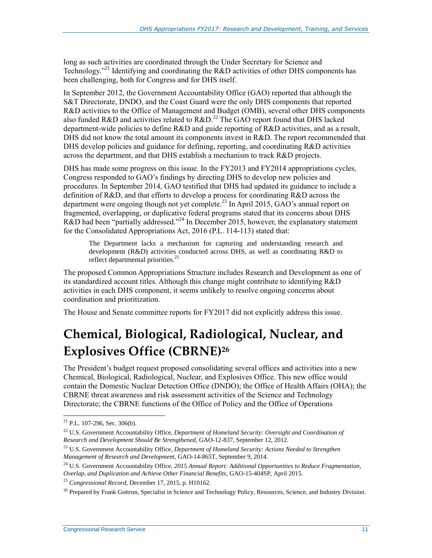long as such activities are coordinated through the Under Secretary for Science and Technology.<sup>"21</sup> Identifying and coordinating the R&D activities of other DHS components has been challenging, both for Congress and for DHS itself.

In September 2012, the Government Accountability Office (GAO) reported that although the S&T Directorate, DNDO, and the Coast Guard were the only DHS components that reported R&D activities to the Office of Management and Budget (OMB), several other DHS components also funded R&D and activities related to R&D.<sup>22</sup> The GAO report found that DHS lacked department-wide policies to define R&D and guide reporting of R&D activities, and as a result, DHS did not know the total amount its components invest in R&D. The report recommended that DHS develop policies and guidance for defining, reporting, and coordinating R&D activities across the department, and that DHS establish a mechanism to track R&D projects.

DHS has made some progress on this issue. In the FY2013 and FY2014 appropriations cycles, Congress responded to GAO's findings by directing DHS to develop new policies and procedures. In September 2014, GAO testified that DHS had updated its guidance to include a definition of R&D, and that efforts to develop a process for coordinating R&D across the department were ongoing though not yet complete.<sup>23</sup> In April 2015, GAO's annual report on fragmented, overlapping, or duplicative federal programs stated that its concerns about DHS R&D had been "partially addressed."<sup>24</sup> In December 2015, however, the explanatory statement for the Consolidated Appropriations Act, 2016 (P.L. 114-113) stated that:

The Department lacks a mechanism for capturing and understanding research and development (R&D) activities conducted across DHS, as well as coordinating R&D to reflect departmental priorities.<sup>25</sup>

The proposed Common Appropriations Structure includes Research and Development as one of its standardized account titles. Although this change might contribute to identifying R&D activities in each DHS component, it seems unlikely to resolve ongoing concerns about coordination and prioritization.

The House and Senate committee reports for FY2017 did not explicitly address this issue.

## **Chemical, Biological, Radiological, Nuclear, and Explosives Office (CBRNE)<sup>26</sup>**

The President's budget request proposed consolidating several offices and activities into a new Chemical, Biological, Radiological, Nuclear, and Explosives Office. This new office would contain the Domestic Nuclear Detection Office (DNDO); the Office of Health Affairs (OHA); the CBRNE threat awareness and risk assessment activities of the Science and Technology Directorate; the CBRNE functions of the Office of Policy and the Office of Operations

 $21$  P.L. 107-296, Sec. 306(b).

<sup>22</sup> U.S. Government Accountability Office, *Department of Homeland Security: Oversight and Coordination of Research and Development Should Be Strengthened*, GAO-12-837, September 12, 2012.

<sup>23</sup> U.S. Government Accountability Office, *Department of Homeland Security: Actions Needed to Strengthen Management of Research and Development*, GAO-14-865T, September 9, 2014.

<sup>24</sup> U.S. Government Accountability Office, *2015 Annual Report: Additional Opportunities to Reduce Fragmentation, Overlap, and Duplication and Achieve Other Financial Benefits*, GAO-15-404SP, April 2015.

<sup>25</sup> *Congressional Record*, December 17, 2015, p. H10162.

<sup>&</sup>lt;sup>26</sup> Prepared by Frank Gottron, Specialist in Science and Technology Policy, Resources, Science, and Industry Division.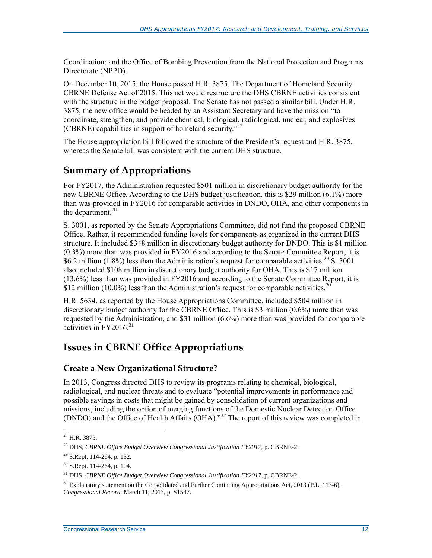Coordination; and the Office of Bombing Prevention from the National Protection and Programs Directorate (NPPD).

On December 10, 2015, the House passed [H.R. 3875,](http://www.congress.gov/cgi-lis/bdquery/z?d114:H.R.3875:) The Department of Homeland Security CBRNE Defense Act of 2015. This act would restructure the DHS CBRNE activities consistent with the structure in the budget proposal. The Senate has not passed a similar bill. Under H.R. 3875, the new office would be headed by an Assistant Secretary and have the mission "to coordinate, strengthen, and provide chemical, biological, radiological, nuclear, and explosives (CBRNE) capabilities in support of homeland security."<sup>27</sup>

The House appropriation bill followed the structure of the President's request and [H.R. 3875,](http://www.congress.gov/cgi-lis/bdquery/z?d114:H.R.3875:) whereas the Senate bill was consistent with the current DHS structure.

### **Summary of Appropriations**

For FY2017, the Administration requested \$501 million in discretionary budget authority for the new CBRNE Office. According to the DHS budget justification, this is \$29 million (6.1%) more than was provided in FY2016 for comparable activities in DNDO, OHA, and other components in the department. $^{28}$ 

S. 3001, as reported by the Senate Appropriations Committee, did not fund the proposed CBRNE Office. Rather, it recommended funding levels for components as organized in the current DHS structure. It included \$348 million in discretionary budget authority for DNDO. This is \$1 million (0.3%) more than was provided in FY2016 and according to the Senate Committee Report, it is \$6.2 million (1.8%) less than the Administration's request for comparable activities.<sup>29</sup> [S. 3001](http://www.congress.gov/cgi-lis/bdquery/z?d114:S.3001:) also included \$108 million in discretionary budget authority for OHA. This is \$17 million (13.6%) less than was provided in FY2016 and according to the Senate Committee Report, it is \$12 million (10.0%) less than the Administration's request for comparable activities.<sup>30</sup>

H.R. 5634, as reported by the House Appropriations Committee, included \$504 million in discretionary budget authority for the CBRNE Office. This is \$3 million (0.6%) more than was requested by the Administration, and \$31 million (6.6%) more than was provided for comparable activities in  $FY2016^{31}$ 

### **Issues in CBRNE Office Appropriations**

#### **Create a New Organizational Structure?**

In 2013, Congress directed DHS to review its programs relating to chemical, biological, radiological, and nuclear threats and to evaluate "potential improvements in performance and possible savings in costs that might be gained by consolidation of current organizations and missions, including the option of merging functions of the Domestic Nuclear Detection Office (DNDO) and the Office of Health Affairs (OHA)."<sup>32</sup> The report of this review was completed in

 $\overline{a}$  $^{27}$  H.R. 3875.

<sup>28</sup> DHS, *CBRNE Office Budget Overview Congressional Justification FY2017*, p. CBRNE-2.

 $29$  S.Rept. 114-264, p. 132.

<sup>30</sup> S.Rept. 114-264, p. 104.

<sup>31</sup> DHS, *CBRNE Office Budget Overview Congressional Justification FY2017*, p. CBRNE-2.

 $32$  Explanatory statement on the Consolidated and Further Continuing Appropriations Act, 2013 (P.L. 113-6), *Congressional Record*, March 11, 2013, p. S1547.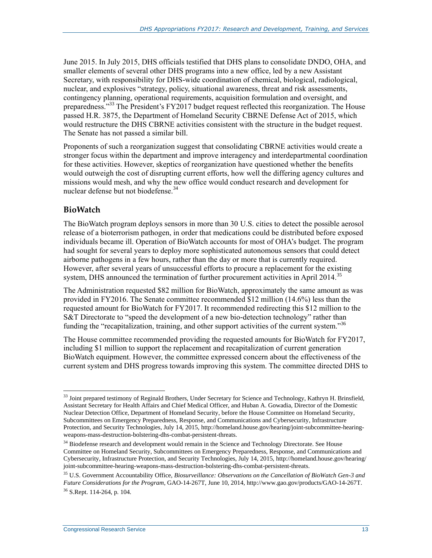June 2015. In July 2015, DHS officials testified that DHS plans to consolidate DNDO, OHA, and smaller elements of several other DHS programs into a new office, led by a new Assistant Secretary, with responsibility for DHS-wide coordination of chemical, biological, radiological, nuclear, and explosives "strategy, policy, situational awareness, threat and risk assessments, contingency planning, operational requirements, acquisition formulation and oversight, and preparedness."<sup>33</sup> The President's FY2017 budget request reflected this reorganization. The House passed [H.R. 3875,](http://www.congress.gov/cgi-lis/bdquery/z?d114:H.R.3875:) the Department of Homeland Security CBRNE Defense Act of 2015, which would restructure the DHS CBRNE activities consistent with the structure in the budget request. The Senate has not passed a similar bill.

Proponents of such a reorganization suggest that consolidating CBRNE activities would create a stronger focus within the department and improve interagency and interdepartmental coordination for these activities. However, skeptics of reorganization have questioned whether the benefits would outweigh the cost of disrupting current efforts, how well the differing agency cultures and missions would mesh, and why the new office would conduct research and development for nuclear defense but not biodefense.<sup>34</sup>

#### **BioWatch**

The BioWatch program deploys sensors in more than 30 U.S. cities to detect the possible aerosol release of a bioterrorism pathogen, in order that medications could be distributed before exposed individuals became ill. Operation of BioWatch accounts for most of OHA's budget. The program had sought for several years to deploy more sophisticated autonomous sensors that could detect airborne pathogens in a few hours, rather than the day or more that is currently required. However, after several years of unsuccessful efforts to procure a replacement for the existing system, DHS announced the termination of further procurement activities in April 2014.<sup>35</sup>

The Administration requested \$82 million for BioWatch, approximately the same amount as was provided in FY2016. The Senate committee recommended \$12 million (14.6%) less than the requested amount for BioWatch for FY2017. It recommended redirecting this \$12 million to the S&T Directorate to "speed the development of a new bio-detection technology" rather than funding the "recapitalization, training, and other support activities of the current system."<sup>36</sup>

The House committee recommended providing the requested amounts for BioWatch for FY2017, including \$1 million to support the replacement and recapitalization of current generation BioWatch equipment. However, the committee expressed concern about the effectiveness of the current system and DHS progress towards improving this system. The committee directed DHS to

 $\overline{a}$ <sup>33</sup> Joint prepared testimony of Reginald Brothers, Under Secretary for Science and Technology, Kathryn H. Brinsfield, Assistant Secretary for Health Affairs and Chief Medical Officer, and Huban A. Gowadia, Director of the Domestic Nuclear Detection Office, Department of Homeland Security, before the House Committee on Homeland Security, Subcommittees on Emergency Preparedness, Response, and Communications and Cybersecurity, Infrastructure Protection, and Security Technologies, July 14, 2015, http://homeland.house.gov/hearing/joint-subcommittee-hearingweapons-mass-destruction-bolstering-dhs-combat-persistent-threats.

<sup>&</sup>lt;sup>34</sup> Biodefense research and development would remain in the Science and Technology Directorate. See House Committee on Homeland Security, Subcommittees on Emergency Preparedness, Response, and Communications and Cybersecurity, Infrastructure Protection, and Security Technologies, July 14, 2015, http://homeland.house.gov/hearing/ joint-subcommittee-hearing-weapons-mass-destruction-bolstering-dhs-combat-persistent-threats.

<sup>35</sup> U.S. Government Accountability Office, *Biosurveillance: Observations on the Cancellation of BioWatch Gen-3 and Future Considerations for the Program*, GAO-14-267T, June 10, 2014, http://www.gao.gov/products/GAO-14-267T. <sup>36</sup> S.Rept. 114-264, p. 104.